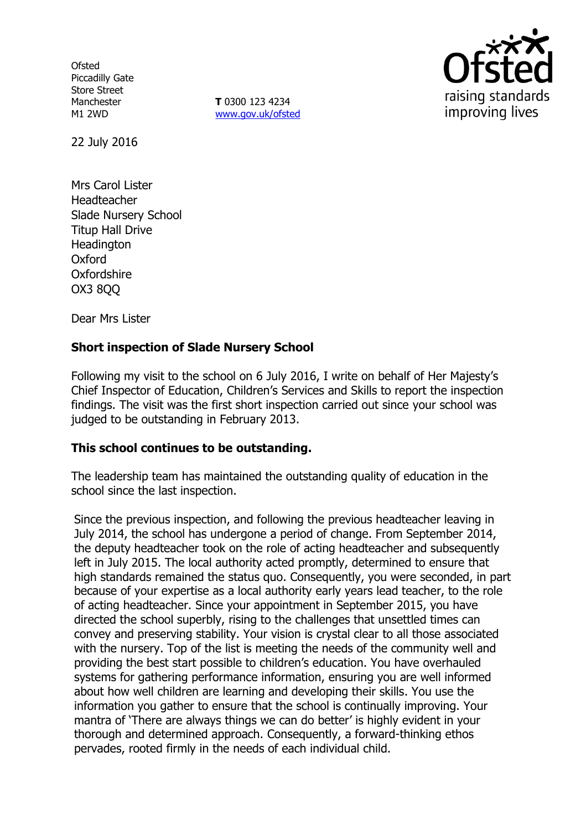**Ofsted** Piccadilly Gate Store Street **Manchester** M1 2WD

**T** 0300 123 4234 www.gov.uk/ofsted



22 July 2016

Mrs Carol Lister Headteacher Slade Nursery School Titup Hall Drive **Headington** Oxford Oxfordshire OX3 8QQ

Dear Mrs Lister

# **Short inspection of Slade Nursery School**

Following my visit to the school on 6 July 2016, I write on behalf of Her Majesty's Chief Inspector of Education, Children's Services and Skills to report the inspection findings. The visit was the first short inspection carried out since your school was judged to be outstanding in February 2013.

# **This school continues to be outstanding.**

The leadership team has maintained the outstanding quality of education in the school since the last inspection.

Since the previous inspection, and following the previous headteacher leaving in July 2014, the school has undergone a period of change. From September 2014, the deputy headteacher took on the role of acting headteacher and subsequently left in July 2015. The local authority acted promptly, determined to ensure that high standards remained the status quo. Consequently, you were seconded, in part because of your expertise as a local authority early years lead teacher, to the role of acting headteacher. Since your appointment in September 2015, you have directed the school superbly, rising to the challenges that unsettled times can convey and preserving stability. Your vision is crystal clear to all those associated with the nursery. Top of the list is meeting the needs of the community well and providing the best start possible to children's education. You have overhauled systems for gathering performance information, ensuring you are well informed about how well children are learning and developing their skills. You use the information you gather to ensure that the school is continually improving. Your mantra of 'There are always things we can do better' is highly evident in your thorough and determined approach. Consequently, a forward-thinking ethos pervades, rooted firmly in the needs of each individual child.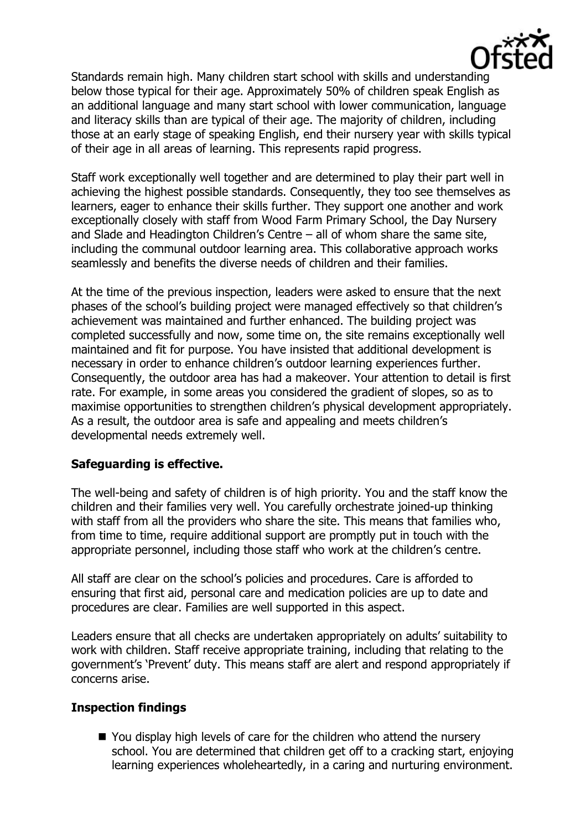

Standards remain high. Many children start school with skills and understanding below those typical for their age. Approximately 50% of children speak English as an additional language and many start school with lower communication, language and literacy skills than are typical of their age. The majority of children, including those at an early stage of speaking English, end their nursery year with skills typical of their age in all areas of learning. This represents rapid progress.

Staff work exceptionally well together and are determined to play their part well in achieving the highest possible standards. Consequently, they too see themselves as learners, eager to enhance their skills further. They support one another and work exceptionally closely with staff from Wood Farm Primary School, the Day Nursery and Slade and Headington Children's Centre – all of whom share the same site, including the communal outdoor learning area. This collaborative approach works seamlessly and benefits the diverse needs of children and their families.

At the time of the previous inspection, leaders were asked to ensure that the next phases of the school's building project were managed effectively so that children's achievement was maintained and further enhanced. The building project was completed successfully and now, some time on, the site remains exceptionally well maintained and fit for purpose. You have insisted that additional development is necessary in order to enhance children's outdoor learning experiences further. Consequently, the outdoor area has had a makeover. Your attention to detail is first rate. For example, in some areas you considered the gradient of slopes, so as to maximise opportunities to strengthen children's physical development appropriately. As a result, the outdoor area is safe and appealing and meets children's developmental needs extremely well.

## **Safeguarding is effective.**

The well-being and safety of children is of high priority. You and the staff know the children and their families very well. You carefully orchestrate joined-up thinking with staff from all the providers who share the site. This means that families who, from time to time, require additional support are promptly put in touch with the appropriate personnel, including those staff who work at the children's centre.

All staff are clear on the school's policies and procedures. Care is afforded to ensuring that first aid, personal care and medication policies are up to date and procedures are clear. Families are well supported in this aspect.

Leaders ensure that all checks are undertaken appropriately on adults' suitability to work with children. Staff receive appropriate training, including that relating to the government's 'Prevent' duty. This means staff are alert and respond appropriately if concerns arise.

# **Inspection findings**

■ You display high levels of care for the children who attend the nursery school. You are determined that children get off to a cracking start, enjoying learning experiences wholeheartedly, in a caring and nurturing environment.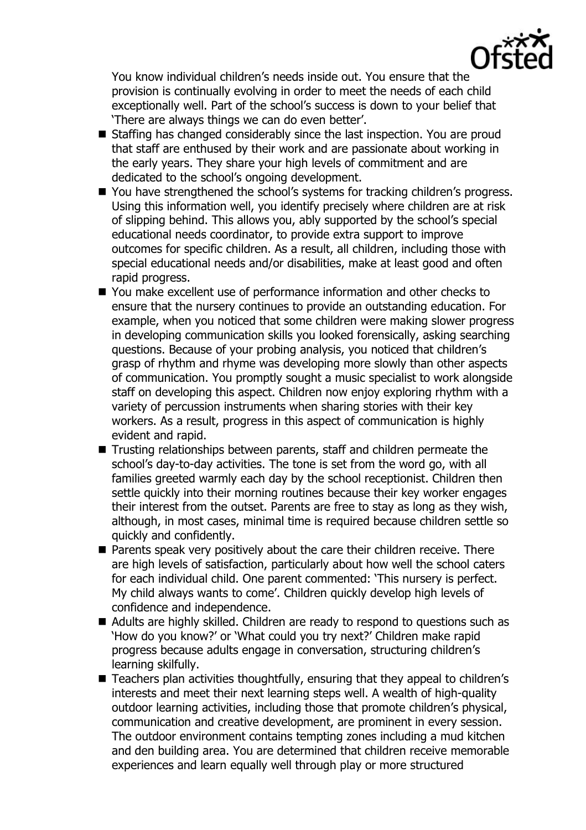

You know individual children's needs inside out. You ensure that the provision is continually evolving in order to meet the needs of each child exceptionally well. Part of the school's success is down to your belief that 'There are always things we can do even better'.

- Staffing has changed considerably since the last inspection. You are proud that staff are enthused by their work and are passionate about working in the early years. They share your high levels of commitment and are dedicated to the school's ongoing development.
- You have strengthened the school's systems for tracking children's progress. Using this information well, you identify precisely where children are at risk of slipping behind. This allows you, ably supported by the school's special educational needs coordinator, to provide extra support to improve outcomes for specific children. As a result, all children, including those with special educational needs and/or disabilities, make at least good and often rapid progress.
- You make excellent use of performance information and other checks to ensure that the nursery continues to provide an outstanding education. For example, when you noticed that some children were making slower progress in developing communication skills you looked forensically, asking searching questions. Because of your probing analysis, you noticed that children's grasp of rhythm and rhyme was developing more slowly than other aspects of communication. You promptly sought a music specialist to work alongside staff on developing this aspect. Children now enjoy exploring rhythm with a variety of percussion instruments when sharing stories with their key workers. As a result, progress in this aspect of communication is highly evident and rapid.
- Trusting relationships between parents, staff and children permeate the school's day-to-day activities. The tone is set from the word go, with all families greeted warmly each day by the school receptionist. Children then settle quickly into their morning routines because their key worker engages their interest from the outset. Parents are free to stay as long as they wish, although, in most cases, minimal time is required because children settle so quickly and confidently.
- **Parents speak very positively about the care their children receive. There** are high levels of satisfaction, particularly about how well the school caters for each individual child. One parent commented: 'This nursery is perfect. My child always wants to come'. Children quickly develop high levels of confidence and independence.
- Adults are highly skilled. Children are ready to respond to questions such as 'How do you know?' or 'What could you try next?' Children make rapid progress because adults engage in conversation, structuring children's learning skilfully.
- Teachers plan activities thoughtfully, ensuring that they appeal to children's interests and meet their next learning steps well. A wealth of high-quality outdoor learning activities, including those that promote children's physical, communication and creative development, are prominent in every session. The outdoor environment contains tempting zones including a mud kitchen and den building area. You are determined that children receive memorable experiences and learn equally well through play or more structured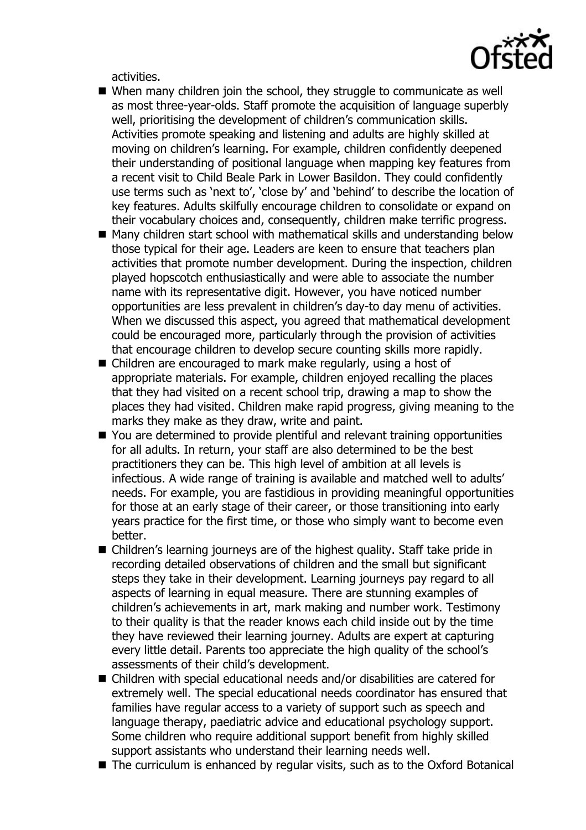

activities.

- When many children join the school, they struggle to communicate as well as most three-year-olds. Staff promote the acquisition of language superbly well, prioritising the development of children's communication skills. Activities promote speaking and listening and adults are highly skilled at moving on children's learning. For example, children confidently deepened their understanding of positional language when mapping key features from a recent visit to Child Beale Park in Lower Basildon. They could confidently use terms such as 'next to', 'close by' and 'behind' to describe the location of key features. Adults skilfully encourage children to consolidate or expand on their vocabulary choices and, consequently, children make terrific progress.
- Many children start school with mathematical skills and understanding below those typical for their age. Leaders are keen to ensure that teachers plan activities that promote number development. During the inspection, children played hopscotch enthusiastically and were able to associate the number name with its representative digit. However, you have noticed number opportunities are less prevalent in children's day-to day menu of activities. When we discussed this aspect, you agreed that mathematical development could be encouraged more, particularly through the provision of activities that encourage children to develop secure counting skills more rapidly.
- Children are encouraged to mark make regularly, using a host of appropriate materials. For example, children enjoyed recalling the places that they had visited on a recent school trip, drawing a map to show the places they had visited. Children make rapid progress, giving meaning to the marks they make as they draw, write and paint.
- You are determined to provide plentiful and relevant training opportunities for all adults. In return, your staff are also determined to be the best practitioners they can be. This high level of ambition at all levels is infectious. A wide range of training is available and matched well to adults' needs. For example, you are fastidious in providing meaningful opportunities for those at an early stage of their career, or those transitioning into early years practice for the first time, or those who simply want to become even better.
- Children's learning journeys are of the highest quality. Staff take pride in recording detailed observations of children and the small but significant steps they take in their development. Learning journeys pay regard to all aspects of learning in equal measure. There are stunning examples of children's achievements in art, mark making and number work. Testimony to their quality is that the reader knows each child inside out by the time they have reviewed their learning journey. Adults are expert at capturing every little detail. Parents too appreciate the high quality of the school's assessments of their child's development.
- Children with special educational needs and/or disabilities are catered for extremely well. The special educational needs coordinator has ensured that families have regular access to a variety of support such as speech and language therapy, paediatric advice and educational psychology support. Some children who require additional support benefit from highly skilled support assistants who understand their learning needs well.
- The curriculum is enhanced by regular visits, such as to the Oxford Botanical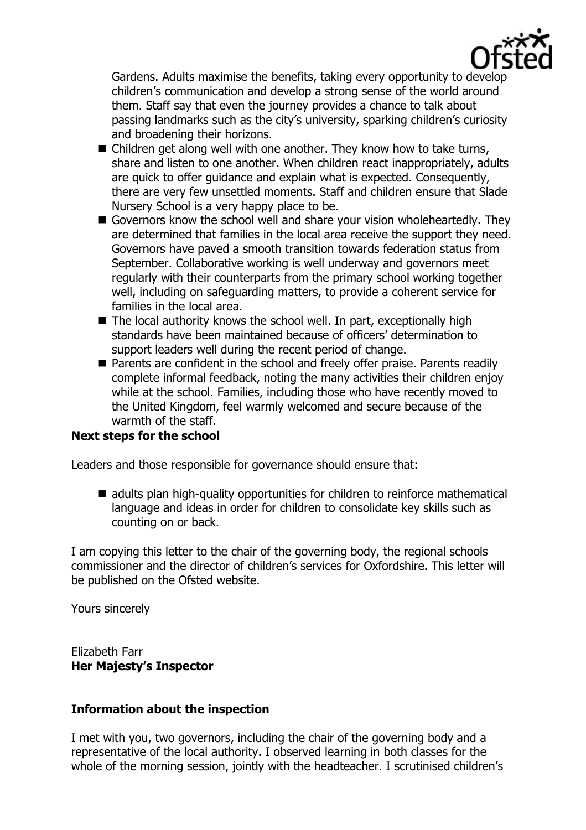

Gardens. Adults maximise the benefits, taking every opportunity to develop children's communication and develop a strong sense of the world around them. Staff say that even the journey provides a chance to talk about passing landmarks such as the city's university, sparking children's curiosity and broadening their horizons.

- Children get along well with one another. They know how to take turns, share and listen to one another. When children react inappropriately, adults are quick to offer guidance and explain what is expected. Consequently, there are very few unsettled moments. Staff and children ensure that Slade Nursery School is a very happy place to be.
- Governors know the school well and share your vision wholeheartedly. They are determined that families in the local area receive the support they need. Governors have paved a smooth transition towards federation status from September. Collaborative working is well underway and governors meet regularly with their counterparts from the primary school working together well, including on safeguarding matters, to provide a coherent service for families in the local area.
- $\blacksquare$  The local authority knows the school well. In part, exceptionally high standards have been maintained because of officers' determination to support leaders well during the recent period of change.
- **Parents are confident in the school and freely offer praise. Parents readily** complete informal feedback, noting the many activities their children enjoy while at the school. Families, including those who have recently moved to the United Kingdom, feel warmly welcomed and secure because of the warmth of the staff.

# **Next steps for the school**

Leaders and those responsible for governance should ensure that:

■ adults plan high-quality opportunities for children to reinforce mathematical language and ideas in order for children to consolidate key skills such as counting on or back.

I am copying this letter to the chair of the governing body, the regional schools commissioner and the director of children's services for Oxfordshire. This letter will be published on the Ofsted website.

Yours sincerely

Elizabeth Farr **Her Majesty's Inspector**

## **Information about the inspection**

I met with you, two governors, including the chair of the governing body and a representative of the local authority. I observed learning in both classes for the whole of the morning session, jointly with the headteacher. I scrutinised children's